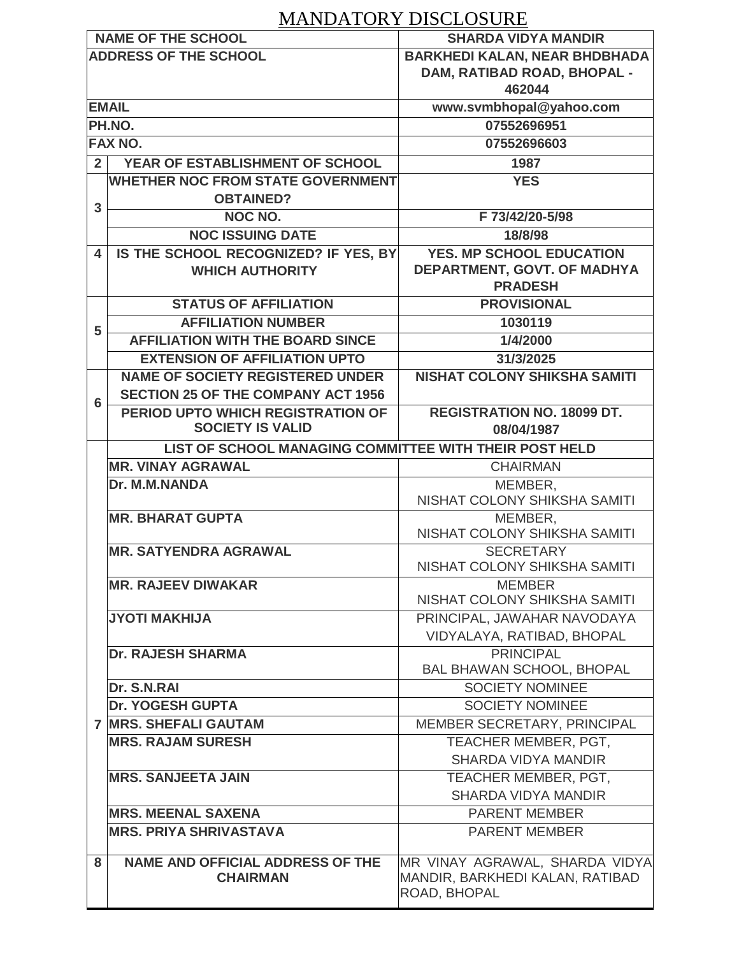## MANDATORY DISCLOSURE

|                              | <b>NAME OF THE SCHOOL</b>                              | <b>SHARDA VIDYA MANDIR</b>              |
|------------------------------|--------------------------------------------------------|-----------------------------------------|
| <b>ADDRESS OF THE SCHOOL</b> |                                                        | <b>BARKHEDI KALAN, NEAR BHDBHADA</b>    |
|                              |                                                        | DAM, RATIBAD ROAD, BHOPAL -             |
|                              |                                                        | 462044                                  |
|                              | <b>EMAIL</b>                                           | www.svmbhopal@yahoo.com                 |
|                              | PH.NO.                                                 | 07552696951                             |
| <b>FAX NO.</b>               |                                                        | 07552696603                             |
| 2 <sup>1</sup>               | YEAR OF ESTABLISHMENT OF SCHOOL                        | 1987                                    |
|                              | <b>WHETHER NOC FROM STATE GOVERNMENT</b>               | <b>YES</b>                              |
| 3                            | <b>OBTAINED?</b>                                       |                                         |
|                              | NOC NO.                                                | F 73/42/20-5/98                         |
|                              | <b>NOC ISSUING DATE</b>                                | 18/8/98                                 |
| $\overline{\mathbf{4}}$      | IS THE SCHOOL RECOGNIZED? IF YES, BY                   | <b>YES. MP SCHOOL EDUCATION</b>         |
|                              | <b>WHICH AUTHORITY</b>                                 | DEPARTMENT, GOVT. OF MADHYA             |
|                              |                                                        | <b>PRADESH</b>                          |
|                              | <b>STATUS OF AFFILIATION</b>                           | <b>PROVISIONAL</b>                      |
| 5                            | <b>AFFILIATION NUMBER</b>                              | 1030119                                 |
|                              | <b>AFFILIATION WITH THE BOARD SINCE</b>                | 1/4/2000                                |
|                              | <b>EXTENSION OF AFFILIATION UPTO</b>                   | 31/3/2025                               |
|                              | <b>NAME OF SOCIETY REGISTERED UNDER</b>                | <b>NISHAT COLONY SHIKSHA SAMITI</b>     |
| 6                            | <b>SECTION 25 OF THE COMPANY ACT 1956</b>              |                                         |
|                              | <b>PERIOD UPTO WHICH REGISTRATION OF</b>               | <b>REGISTRATION NO. 18099 DT.</b>       |
|                              | <b>SOCIETY IS VALID</b>                                | 08/04/1987                              |
|                              | LIST OF SCHOOL MANAGING COMMITTEE WITH THEIR POST HELD |                                         |
|                              | <b>MR. VINAY AGRAWAL</b>                               | <b>CHAIRMAN</b>                         |
|                              | Dr. M.M.NANDA                                          | MEMBER,                                 |
|                              |                                                        | NISHAT COLONY SHIKSHA SAMITI            |
|                              | <b>MR. BHARAT GUPTA</b>                                | MEMBER,<br>NISHAT COLONY SHIKSHA SAMITI |
|                              | <b>MR. SATYENDRA AGRAWAL</b>                           | <b>SECRETARY</b>                        |
|                              |                                                        | NISHAT COLONY SHIKSHA SAMITI            |
|                              | <b>MR. RAJEEV DIWAKAR</b>                              | <b>MEMBER</b>                           |
|                              |                                                        | NISHAT COLONY SHIKSHA SAMITI            |
|                              | <b>JYOTI MAKHIJA</b>                                   | PRINCIPAL, JAWAHAR NAVODAYA             |
|                              |                                                        | VIDYALAYA, RATIBAD, BHOPAL              |
|                              | <b>Dr. RAJESH SHARMA</b>                               | <b>PRINCIPAL</b>                        |
|                              |                                                        | <b>BAL BHAWAN SCHOOL, BHOPAL</b>        |
|                              | Dr. S.N.RAI                                            | <b>SOCIETY NOMINEE</b>                  |
|                              | <b>Dr. YOGESH GUPTA</b>                                | <b>SOCIETY NOMINEE</b>                  |
|                              | <b>7 MRS. SHEFALI GAUTAM</b>                           | MEMBER SECRETARY, PRINCIPAL             |
|                              | <b>MRS. RAJAM SURESH</b>                               | TEACHER MEMBER, PGT,                    |
|                              |                                                        | <b>SHARDA VIDYA MANDIR</b>              |
|                              | <b>MRS. SANJEETA JAIN</b>                              | TEACHER MEMBER, PGT,                    |
|                              |                                                        | <b>SHARDA VIDYA MANDIR</b>              |
|                              | <b>MRS. MEENAL SAXENA</b>                              | <b>PARENT MEMBER</b>                    |
|                              | <b>MRS. PRIYA SHRIVASTAVA</b>                          | <b>PARENT MEMBER</b>                    |
|                              |                                                        |                                         |
| 8                            | <b>NAME AND OFFICIAL ADDRESS OF THE</b>                | MR VINAY AGRAWAL, SHARDA VIDYA          |
|                              | <b>CHAIRMAN</b>                                        | MANDIR, BARKHEDI KALAN, RATIBAD         |
|                              |                                                        | ROAD, BHOPAL                            |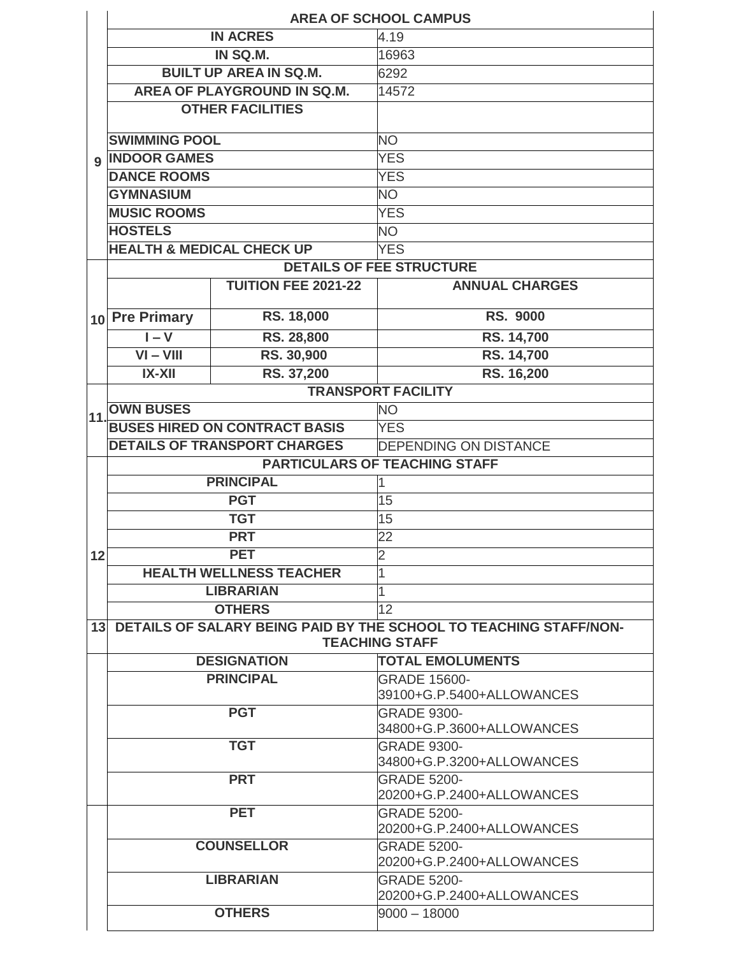|             | <b>AREA OF SCHOOL CAMPUS</b>         |                                      |                                                                                            |  |  |  |
|-------------|--------------------------------------|--------------------------------------|--------------------------------------------------------------------------------------------|--|--|--|
|             | <b>IN ACRES</b>                      |                                      | 4.19                                                                                       |  |  |  |
|             | IN SQ.M.                             |                                      | 16963                                                                                      |  |  |  |
|             |                                      | <b>BUILT UP AREA IN SQ.M.</b>        | 6292                                                                                       |  |  |  |
|             |                                      | AREA OF PLAYGROUND IN SQ.M.          | 14572                                                                                      |  |  |  |
|             |                                      | <b>OTHER FACILITIES</b>              |                                                                                            |  |  |  |
|             | <b>SWIMMING POOL</b>                 |                                      | <b>NO</b>                                                                                  |  |  |  |
| $\mathbf Q$ | <b>INDOOR GAMES</b>                  |                                      | <b>YES</b>                                                                                 |  |  |  |
|             | <b>DANCE ROOMS</b>                   |                                      | <b>YES</b>                                                                                 |  |  |  |
|             | <b>GYMNASIUM</b>                     |                                      | <b>NO</b>                                                                                  |  |  |  |
|             | <b>MUSIC ROOMS</b>                   |                                      | <b>YES</b>                                                                                 |  |  |  |
|             | <b>HOSTELS</b>                       |                                      | <b>NO</b>                                                                                  |  |  |  |
|             | <b>HEALTH &amp; MEDICAL CHECK UP</b> |                                      | <b>YES</b>                                                                                 |  |  |  |
|             |                                      |                                      | <b>DETAILS OF FEE STRUCTURE</b>                                                            |  |  |  |
|             |                                      | <b>TUITION FEE 2021-22</b>           | <b>ANNUAL CHARGES</b>                                                                      |  |  |  |
|             | 10 Pre Primary                       | RS. 18,000                           | <b>RS. 9000</b>                                                                            |  |  |  |
|             | $I - V$                              | RS. 28,800                           | RS. 14,700                                                                                 |  |  |  |
|             | $VI - VIII$                          | RS. 30,900                           | RS. 14,700                                                                                 |  |  |  |
|             | $IX-XII$                             | RS. 37,200                           | RS. 16,200                                                                                 |  |  |  |
|             |                                      |                                      | <b>TRANSPORT FACILITY</b>                                                                  |  |  |  |
| 11          | <b>OWN BUSES</b>                     |                                      | <b>NO</b>                                                                                  |  |  |  |
|             |                                      | <b>BUSES HIRED ON CONTRACT BASIS</b> | <b>YES</b>                                                                                 |  |  |  |
|             |                                      | <b>DETAILS OF TRANSPORT CHARGES</b>  | <b>DEPENDING ON DISTANCE</b>                                                               |  |  |  |
|             |                                      |                                      | <b>PARTICULARS OF TEACHING STAFF</b>                                                       |  |  |  |
|             |                                      | <b>PRINCIPAL</b>                     | 1                                                                                          |  |  |  |
|             | <b>PGT</b>                           |                                      | 15                                                                                         |  |  |  |
|             | <b>TGT</b>                           |                                      | 15                                                                                         |  |  |  |
|             | <b>PRT</b>                           |                                      | $\overline{22}$                                                                            |  |  |  |
| 12          | <b>PET</b>                           |                                      | 2                                                                                          |  |  |  |
|             |                                      | <b>HEALTH WELLNESS TEACHER</b>       | 1                                                                                          |  |  |  |
|             |                                      | <b>LIBRARIAN</b>                     | 1                                                                                          |  |  |  |
|             |                                      | <b>OTHERS</b>                        | 12                                                                                         |  |  |  |
| 13          |                                      |                                      | DETAILS OF SALARY BEING PAID BY THE SCHOOL TO TEACHING STAFF/NON-<br><b>TEACHING STAFF</b> |  |  |  |
|             |                                      | <b>DESIGNATION</b>                   | <b>TOTAL EMOLUMENTS</b>                                                                    |  |  |  |
|             | <b>PRINCIPAL</b>                     |                                      | <b>GRADE 15600-</b>                                                                        |  |  |  |
|             |                                      |                                      | 39100+G.P.5400+ALLOWANCES                                                                  |  |  |  |
|             |                                      | <b>PGT</b>                           | <b>GRADE 9300-</b>                                                                         |  |  |  |
|             |                                      |                                      | 34800+G.P.3600+ALLOWANCES                                                                  |  |  |  |
|             |                                      | <b>TGT</b>                           | <b>GRADE 9300-</b>                                                                         |  |  |  |
|             |                                      |                                      | 34800+G.P.3200+ALLOWANCES                                                                  |  |  |  |
|             |                                      | <b>PRT</b>                           | <b>GRADE 5200-</b>                                                                         |  |  |  |
|             |                                      |                                      | 20200+G.P.2400+ALLOWANCES                                                                  |  |  |  |
|             |                                      | <b>PET</b>                           | <b>GRADE 5200-</b><br>20200+G.P.2400+ALLOWANCES                                            |  |  |  |
|             |                                      | <b>COUNSELLOR</b>                    | <b>GRADE 5200-</b>                                                                         |  |  |  |
|             |                                      |                                      | 20200+G.P.2400+ALLOWANCES                                                                  |  |  |  |
|             |                                      | <b>LIBRARIAN</b>                     | <b>GRADE 5200-</b>                                                                         |  |  |  |
|             |                                      |                                      | 20200+G.P.2400+ALLOWANCES                                                                  |  |  |  |
|             |                                      | <b>OTHERS</b>                        | $9000 - 18000$                                                                             |  |  |  |